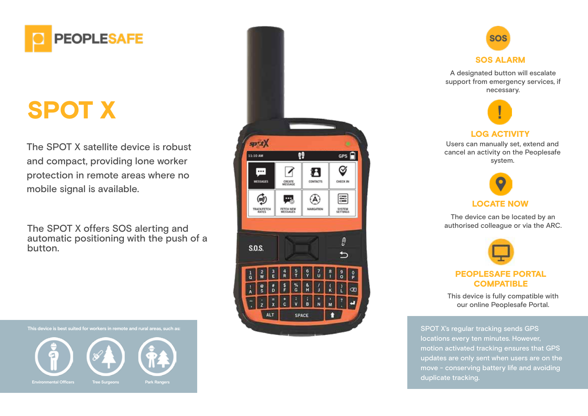

# SPOT X

The SPOT X satellite device is robust and compact, providing lone worker protection in remote areas where no mobile signal is available.

The SPOT X offers SOS alerting and automatic positioning with the push of a button.





A designated button will escalate support from emergency services, if necessary.



#### LOG ACTIVITY

Users can manually set, extend and cancel an activity on the Peoplesafe system.



The device can be located by an authorised colleague or via the ARC.

| PEOPLESAFE PORTAL |
|-------------------|
| <b>COMPATIBLE</b> |

This device is fully compatible with our online Peoplesafe Portal.

SPOT X's regular tracking sends GPS locations every ten minutes. However, motion activated tracking ensures that GPS updates are only sent when users are on the move - conserving battery life and avoiding duplicate tracking.